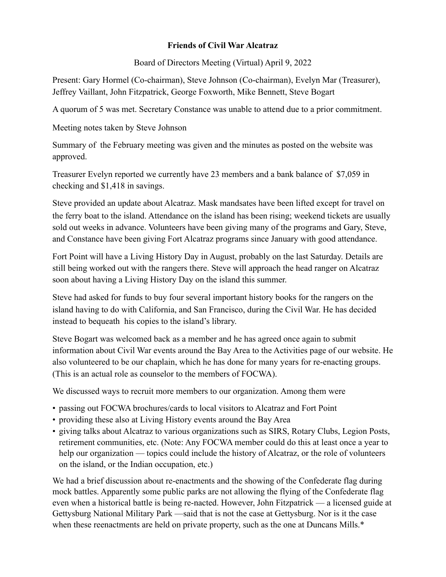## **Friends of Civil War Alcatraz**

Board of Directors Meeting (Virtual) April 9, 2022

Present: Gary Hormel (Co-chairman), Steve Johnson (Co-chairman), Evelyn Mar (Treasurer), Jeffrey Vaillant, John Fitzpatrick, George Foxworth, Mike Bennett, Steve Bogart

A quorum of 5 was met. Secretary Constance was unable to attend due to a prior commitment.

Meeting notes taken by Steve Johnson

Summary of the February meeting was given and the minutes as posted on the website was approved.

Treasurer Evelyn reported we currently have 23 members and a bank balance of \$7,059 in checking and \$1,418 in savings.

Steve provided an update about Alcatraz. Mask mandsates have been lifted except for travel on the ferry boat to the island. Attendance on the island has been rising; weekend tickets are usually sold out weeks in advance. Volunteers have been giving many of the programs and Gary, Steve, and Constance have been giving Fort Alcatraz programs since January with good attendance.

Fort Point will have a Living History Day in August, probably on the last Saturday. Details are still being worked out with the rangers there. Steve will approach the head ranger on Alcatraz soon about having a Living History Day on the island this summer.

Steve had asked for funds to buy four several important history books for the rangers on the island having to do with California, and San Francisco, during the Civil War. He has decided instead to bequeath his copies to the island's library.

Steve Bogart was welcomed back as a member and he has agreed once again to submit information about Civil War events around the Bay Area to the Activities page of our website. He also volunteered to be our chaplain, which he has done for many years for re-enacting groups. (This is an actual role as counselor to the members of FOCWA).

We discussed ways to recruit more members to our organization. Among them were

- passing out FOCWA brochures/cards to local visitors to Alcatraz and Fort Point
- providing these also at Living History events around the Bay Area
- giving talks about Alcatraz to various organizations such as SIRS, Rotary Clubs, Legion Posts, retirement communities, etc. (Note: Any FOCWA member could do this at least once a year to help our organization — topics could include the history of Alcatraz, or the role of volunteers on the island, or the Indian occupation, etc.)

We had a brief discussion about re-enactments and the showing of the Confederate flag during mock battles. Apparently some public parks are not allowing the flying of the Confederate flag even when a historical battle is being re-nacted. However, John Fitzpatrick — a licensed guide at Gettysburg National Military Park —said that is not the case at Gettysburg. Nor is it the case when these reenactments are held on private property, such as the one at Duncans Mills.<sup>\*</sup>